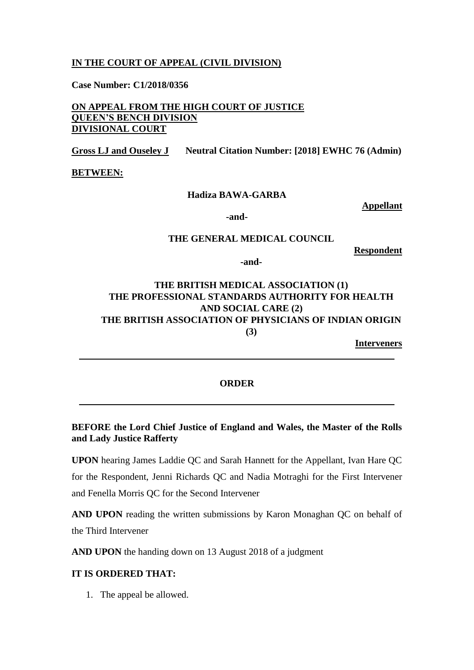## **IN THE COURT OF APPEAL (CIVIL DIVISION)**

**Case Number: C1/2018/0356**

**ON APPEAL FROM THE HIGH COURT OF JUSTICE QUEEN'S BENCH DIVISION DIVISIONAL COURT**

**Gross LJ and Ouseley J Neutral Citation Number: [2018] EWHC 76 (Admin)**

**BETWEEN:**

### **Hadiza BAWA-GARBA**

**Appellant**

**-and-**

### **THE GENERAL MEDICAL COUNCIL**

**Respondent**

**-and-**

# **THE BRITISH MEDICAL ASSOCIATION (1) THE PROFESSIONAL STANDARDS AUTHORITY FOR HEALTH AND SOCIAL CARE (2) THE BRITISH ASSOCIATION OF PHYSICIANS OF INDIAN ORIGIN (3)**

**Interveners**

#### **ORDER**

## **BEFORE the Lord Chief Justice of England and Wales, the Master of the Rolls and Lady Justice Rafferty**

**UPON** hearing James Laddie QC and Sarah Hannett for the Appellant, Ivan Hare QC for the Respondent, Jenni Richards QC and Nadia Motraghi for the First Intervener and Fenella Morris QC for the Second Intervener

**AND UPON** reading the written submissions by Karon Monaghan QC on behalf of the Third Intervener

**AND UPON** the handing down on 13 August 2018 of a judgment

### **IT IS ORDERED THAT:**

1. The appeal be allowed.